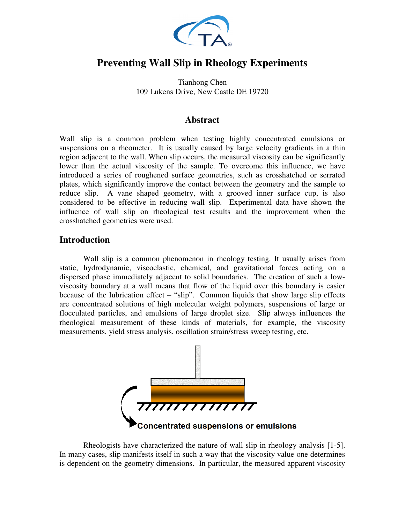

# **Preventing Wall Slip in Rheology Experiments**

Tianhong Chen 109 Lukens Drive, New Castle DE 19720

### **Abstract**

Wall slip is a common problem when testing highly concentrated emulsions or suspensions on a rheometer. It is usually caused by large velocity gradients in a thin region adjacent to the wall. When slip occurs, the measured viscosity can be significantly lower than the actual viscosity of the sample. To overcome this influence, we have introduced a series of roughened surface geometries, such as crosshatched or serrated plates, which significantly improve the contact between the geometry and the sample to reduce slip. A vane shaped geometry, with a grooved inner surface cup, is also considered to be effective in reducing wall slip. Experimental data have shown the influence of wall slip on rheological test results and the improvement when the crosshatched geometries were used.

### **Introduction**

Wall slip is a common phenomenon in rheology testing. It usually arises from static, hydrodynamic, viscoelastic, chemical, and gravitational forces acting on a dispersed phase immediately adjacent to solid boundaries. The creation of such a lowviscosity boundary at a wall means that flow of the liquid over this boundary is easier because of the lubrication effect – "slip". Common liquids that show large slip effects are concentrated solutions of high molecular weight polymers, suspensions of large or flocculated particles, and emulsions of large droplet size. Slip always influences the rheological measurement of these kinds of materials, for example, the viscosity measurements, yield stress analysis, oscillation strain/stress sweep testing, etc.



Rheologists have characterized the nature of wall slip in rheology analysis [1-5]. In many cases, slip manifests itself in such a way that the viscosity value one determines is dependent on the geometry dimensions. In particular, the measured apparent viscosity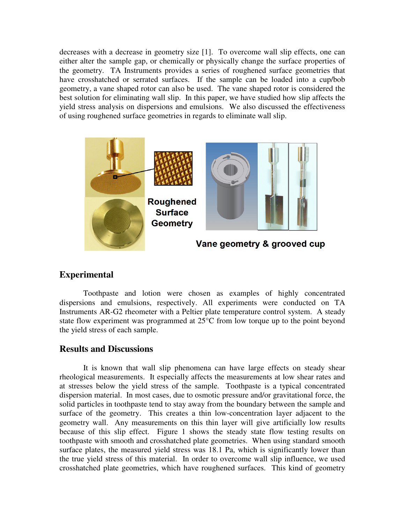decreases with a decrease in geometry size [1]. To overcome wall slip effects, one can either alter the sample gap, or chemically or physically change the surface properties of the geometry. TA Instruments provides a series of roughened surface geometries that have crosshatched or serrated surfaces. If the sample can be loaded into a cup/bob geometry, a vane shaped rotor can also be used. The vane shaped rotor is considered the best solution for eliminating wall slip. In this paper, we have studied how slip affects the yield stress analysis on dispersions and emulsions. We also discussed the effectiveness of using roughened surface geometries in regards to eliminate wall slip.



### **Experimental**

Toothpaste and lotion were chosen as examples of highly concentrated dispersions and emulsions, respectively. All experiments were conducted on TA Instruments AR-G2 rheometer with a Peltier plate temperature control system. A steady state flow experiment was programmed at 25°C from low torque up to the point beyond the yield stress of each sample.

### **Results and Discussions**

It is known that wall slip phenomena can have large effects on steady shear rheological measurements. It especially affects the measurements at low shear rates and at stresses below the yield stress of the sample. Toothpaste is a typical concentrated dispersion material. In most cases, due to osmotic pressure and/or gravitational force, the solid particles in toothpaste tend to stay away from the boundary between the sample and surface of the geometry. This creates a thin low-concentration layer adjacent to the geometry wall. Any measurements on this thin layer will give artificially low results because of this slip effect. Figure 1 shows the steady state flow testing results on toothpaste with smooth and crosshatched plate geometries. When using standard smooth surface plates, the measured yield stress was 18.1 Pa, which is significantly lower than the true yield stress of this material. In order to overcome wall slip influence, we used crosshatched plate geometries, which have roughened surfaces. This kind of geometry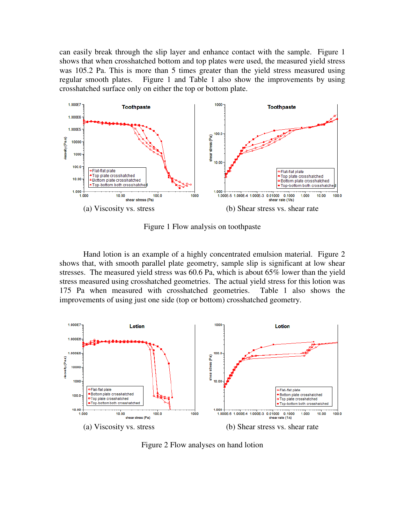can easily break through the slip layer and enhance contact with the sample. Figure 1 shows that when crosshatched bottom and top plates were used, the measured yield stress was 105.2 Pa. This is more than 5 times greater than the yield stress measured using regular smooth plates. Figure 1 and Table 1 also show the improvements by using crosshatched surface only on either the top or bottom plate.



Figure 1 Flow analysis on toothpaste

Hand lotion is an example of a highly concentrated emulsion material. Figure 2 shows that, with smooth parallel plate geometry, sample slip is significant at low shear stresses. The measured yield stress was 60.6 Pa, which is about 65% lower than the yield stress measured using crosshatched geometries. The actual yield stress for this lotion was 175 Pa when measured with crosshatched geometries. Table 1 also shows the improvements of using just one side (top or bottom) crosshatched geometry.



Figure 2 Flow analyses on hand lotion